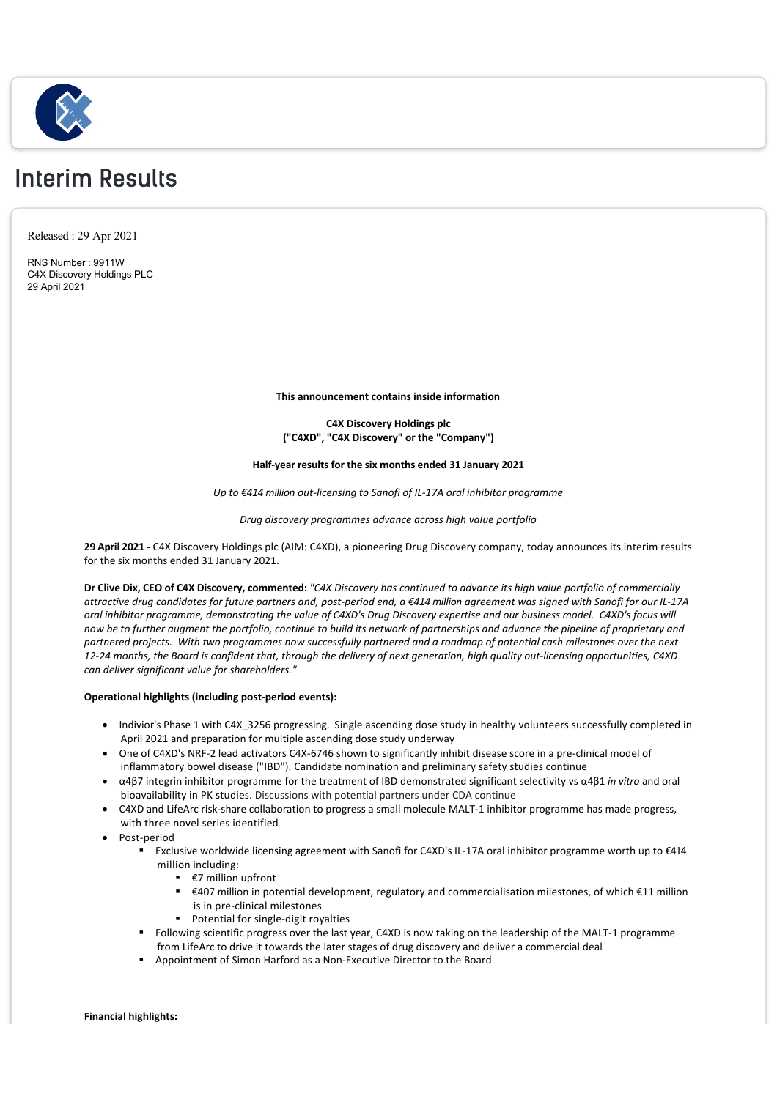

# Interim Results

Released : 29 Apr 2021

RNS Number : 9911W C4X Discovery Holdings PLC 29 April 2021

**This announcement contains inside information**

**C4X Discovery Holdings plc ("C4XD", "C4X Discovery" or the "Company")**

# **Half‐year results for the six months ended 31 January 2021**

*Up to €414 million out‐licensing to Sanofi of IL‐17A oral inhibitor programme*

# *Drug discovery programmes advance across high value portfolio*

**29 April 2021 ‐** C4X Discovery Holdings plc (AIM: C4XD), a pioneering Drug Discovery company, today announces its interim results for the six months ended 31 January 2021.

**Dr Clive Dix, CEO of C4X Discovery, commented:** *"C4X Discovery has continued to advance its high value portfolio of commercially attractive drug candidates for future partners and, post‐period end, a €414 million agreement was signed with Sanofi for our IL‐17A oral inhibitor programme, demonstrating the value of C4XD's Drug Discovery expertise and our business model. C4XD's focus will now be to further augment the portfolio, continue to build its network of partnerships and advance the pipeline of proprietary and partnered projects. With two programmes now successfully partnered and a roadmap of potential cash milestones over the next 12‐24 months, the Board is confident that, through the delivery of next generation, high quality out‐licensing opportunities, C4XD can deliver significant value for shareholders."*

# **Operational highlights (including post‐period events):**

- Indivior's Phase 1 with C4X 3256 progressing. Single ascending dose study in healthy volunteers successfully completed in April 2021 and preparation for multiple ascending dose study underway
- · One of C4XD's NRF‐2 lead activators C4X‐6746 shown to significantly inhibit disease score in a pre‐clinical model of inflammatory bowel disease ("IBD"). Candidate nomination and preliminary safety studies continue
- · α4β7 integrin inhibitor programme for the treatment of IBD demonstrated significant selectivity vs α4β1 *in vitro* and oral bioavailability in PK studies. Discussions with potential partners under CDA continue
- · C4XD and LifeArc risk‐share collaboration to progress a small molecule MALT‐1 inhibitor programme has made progress, with three novel series identified
- · Post‐period
	- Exclusive worldwide licensing agreement with Sanofi for C4XD's IL-17A oral inhibitor programme worth up to €414 million including:
		- $\bullet$   $\epsilon$ 7 million upfront
		- § €407 million in potential development, regulatory and commercialisation milestones, of which €11 million is in pre‐clinical milestones
		- Potential for single-digit royalties
	- Following scientific progress over the last year, C4XD is now taking on the leadership of the MALT-1 programme from LifeArc to drive it towards the later stages of drug discovery and deliver a commercial deal
	- § Appointment of Simon Harford as a Non‐Executive Director to the Board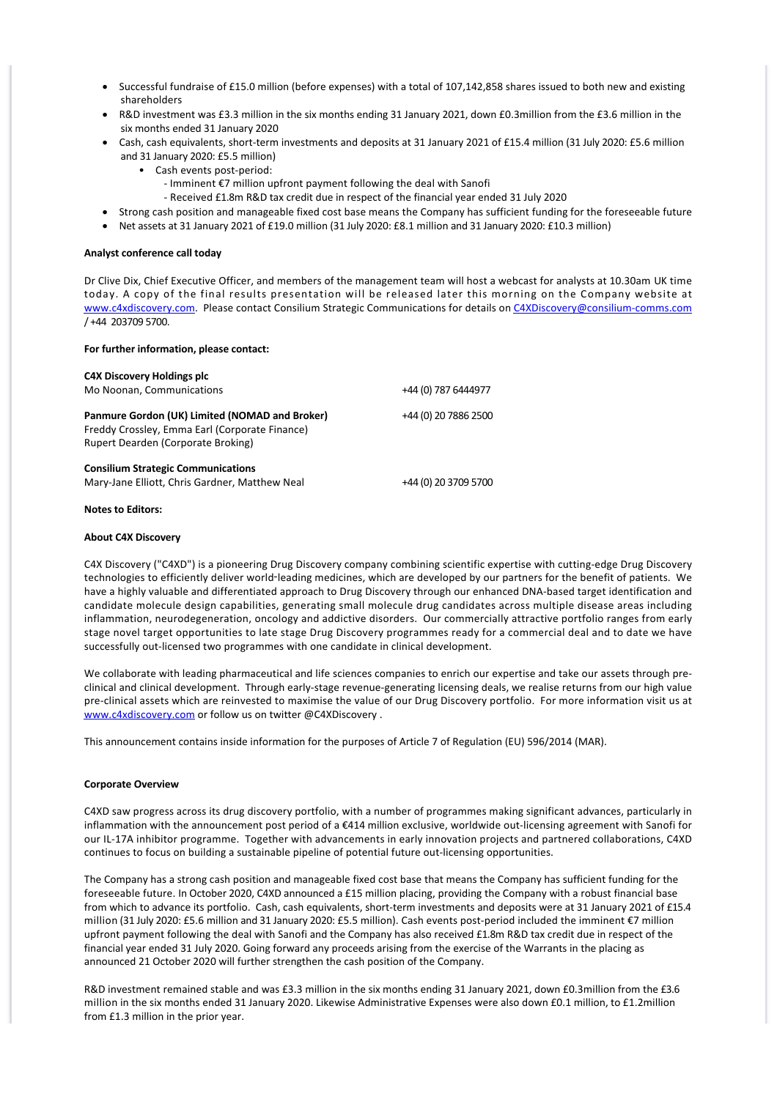- Successful fundraise of £15.0 million (before expenses) with a total of 107,142,858 shares issued to both new and existing shareholders
- R&D investment was £3.3 million in the six months ending 31 January 2021, down £0.3million from the £3.6 million in the six months ended 31 January 2020
- · Cash, cash equivalents, short‐term investments and deposits at 31 January 2021 of £15.4 million (31 July 2020: £5.6 million and 31 January 2020: £5.5 million)
	- Cash events post‐period:
		- ‐ Imminent €7 million upfront payment following the deal with Sanofi
	- ‐ Received £1.8m R&D tax credit due in respect of the financial year ended 31 July 2020
- Strong cash position and manageable fixed cost base means the Company has sufficient funding for the foreseeable future
- · Net assets at 31 January 2021 of £19.0 million (31 July 2020: £8.1 million and 31 January 2020: £10.3 million)

#### **Analyst conference call today**

Dr Clive Dix, Chief Executive Officer, and members of the management team will host a webcast for analysts at 10.30am UK time today. A copy of the final results presentation will be released later this morning on the Company website at [www.c4xdiscovery.com](http://www.c4xdiscovery.com). Please contact Consilium Strategic Communications for details on [C4XDiscovery@consilium‐comms.com](mailto:C4XDiscovery@consilium-comms.com) / +44 203709 5700.

### **For further information, please contact:**

| <b>C4X Discovery Holdings plc</b><br>Mo Noonan, Communications                                                                         | +44 (0) 787 6444977  |
|----------------------------------------------------------------------------------------------------------------------------------------|----------------------|
| Panmure Gordon (UK) Limited (NOMAD and Broker)<br>Freddy Crossley, Emma Earl (Corporate Finance)<br>Rupert Dearden (Corporate Broking) | +44 (0) 20 7886 2500 |
| <b>Consilium Strategic Communications</b><br>Mary-Jane Elliott, Chris Gardner, Matthew Neal                                            | +44 (0) 20 3709 5700 |

# **Notes to Editors:**

#### **About C4X Discovery**

C4X Discovery ("C4XD") is a pioneering Drug Discovery company combining scientific expertise with cutting‐edge Drug Discovery technologies to efficiently deliver world-leading medicines, which are developed by our partners for the benefit of patients. We have a highly valuable and differentiated approach to Drug Discovery through our enhanced DNA‐based target identification and candidate molecule design capabilities, generating small molecule drug candidates across multiple disease areas including inflammation, neurodegeneration, oncology and addictive disorders. Our commercially attractive portfolio ranges from early stage novel target opportunities to late stage Drug Discovery programmes ready for a commercial deal and to date we have successfully out‐licensed two programmes with one candidate in clinical development.

We collaborate with leading pharmaceutical and life sciences companies to enrich our expertise and take our assets through preclinical and clinical development. Through early‐stage revenue‐generating licensing deals, we realise returns from our high value pre-clinical assets which are reinvested to maximise the value of our Drug Discovery portfolio. For more information visit us at [www.c4xdiscovery.com](http://www.c4xdiscovery.com) or follow us on twitter @C4XDiscovery .

This announcement contains inside information for the purposes of Article 7 of Regulation (EU) 596/2014 (MAR).

#### **Corporate Overview**

C4XD saw progress across its drug discovery portfolio, with a number of programmes making significant advances, particularly in inflammation with the announcement post period of a €414 million exclusive, worldwide out‐licensing agreement with Sanofi for our IL‐17A inhibitor programme. Together with advancements in early innovation projects and partnered collaborations, C4XD continues to focus on building a sustainable pipeline of potential future out-licensing opportunities.

The Company has a strong cash position and manageable fixed cost base that means the Company has sufficient funding for the foreseeable future. In October 2020, C4XD announced a £15 million placing, providing the Company with a robust financial base from which to advance its portfolio. Cash, cash equivalents, short-term investments and deposits were at 31 January 2021 of £15.4 million (31 July 2020: £5.6 million and 31 January 2020: £5.5 million). Cash events post‐period included the imminent €7 million upfront payment following the deal with Sanofi and the Company has also received £1.8m R&D tax credit due in respect of the financial year ended 31 July 2020. Going forward any proceeds arising from the exercise of the Warrants in the placing as announced 21 October 2020 will further strengthen the cash position of the Company.

R&D investment remained stable and was £3.3 million in the six months ending 31 January 2021, down £0.3million from the £3.6 million in the six months ended 31 January 2020. Likewise Administrative Expenses were also down £0.1 million, to £1.2million from £1.3 million in the prior year.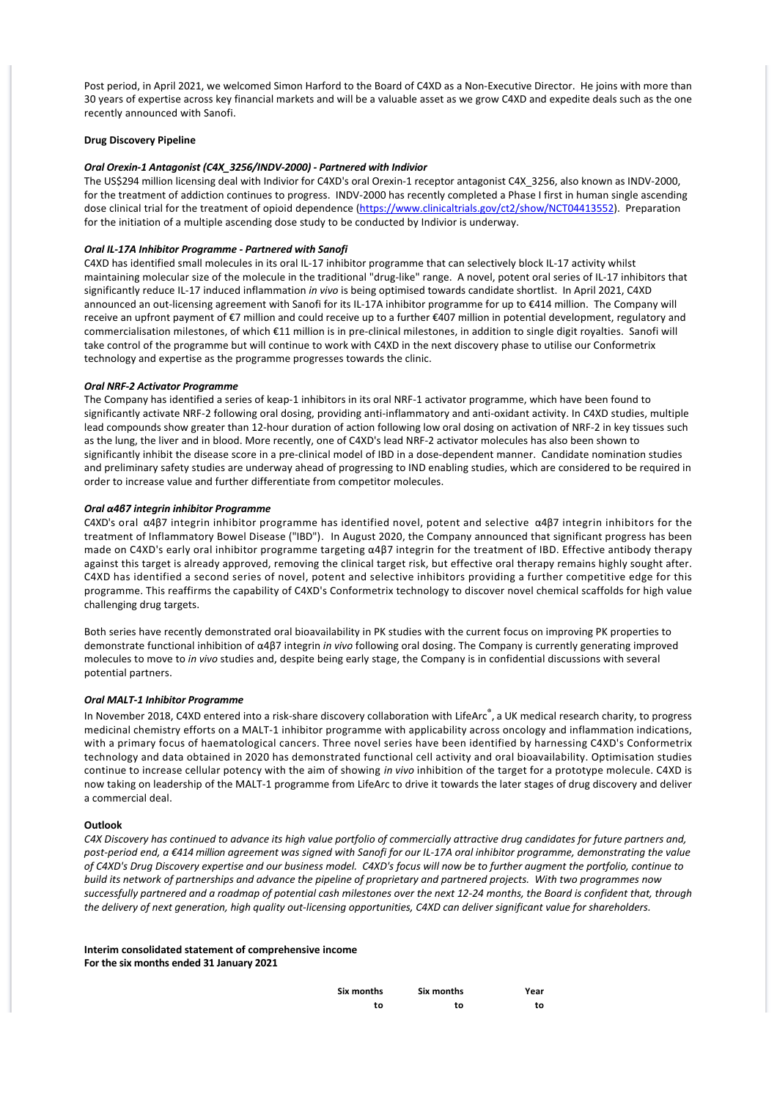Post period, in April 2021, we welcomed Simon Harford to the Board of C4XD as a Non‐Executive Director. He joins with more than 30 years of expertise across key financial markets and will be a valuable asset as we grow C4XD and expedite deals such as the one recently announced with Sanofi.

# **Drug Discovery Pipeline**

#### *Oral Orexin‐1 Antagonist (C4X\_3256/INDV‐2000) ‐ Partnered with Indivior*

The US\$294 million licensing deal with Indivior for C4XD's oral Orexin-1 receptor antagonist C4X 3256, also known as INDV-2000, for the treatment of addiction continues to progress. INDV-2000 has recently completed a Phase I first in human single ascending dose clinical trial for the treatment of opioid dependence [\(https://www.clinicaltrials.gov/ct2/show/NCT04413552](https://www.clinicaltrials.gov/ct2/show/NCT04413552)). Preparation for the initiation of a multiple ascending dose study to be conducted by Indivior is underway.

# *Oral IL‐17A Inhibitor Programme ‐ Partnered with Sanofi*

C4XD has identified small molecules in its oral IL‐17 inhibitor programme that can selectively block IL‐17 activity whilst maintaining molecular size of the molecule in the traditional "drug‐like" range. A novel, potent oral series of IL‐17 inhibitors that significantly reduce IL‐17 induced inflammation *in vivo* is being optimised towards candidate shortlist. In April 2021, C4XD announced an out‐licensing agreement with Sanofi for its IL‐17A inhibitor programme for up to €414 million. The Company will receive an upfront payment of €7 million and could receive up to a further €407 million in potential development, regulatory and commercialisation milestones, of which €11 million is in pre‐clinical milestones, in addition to single digit royalties. Sanofi will take control of the programme but will continue to work with C4XD in the next discovery phase to utilise our Conformetrix technology and expertise as the programme progresses towards the clinic.

#### *Oral NRF‐2 Activator Programme*

The Company has identified a series of keap‐1 inhibitors in its oral NRF‐1 activator programme, which have been found to significantly activate NRF-2 following oral dosing, providing anti-inflammatory and anti-oxidant activity. In C4XD studies, multiple lead compounds show greater than 12‐hour duration of action following low oral dosing on activation of NRF‐2 in key tissues such as the lung, the liver and in blood. More recently, one of C4XD's lead NRF‐2 activator molecules has also been shown to significantly inhibit the disease score in a pre-clinical model of IBD in a dose-dependent manner. Candidate nomination studies and preliminary safety studies are underway ahead of progressing to IND enabling studies, which are considered to be required in order to increase value and further differentiate from competitor molecules.

# *Oral α4β7 integrin inhibitor Programme*

C4XD's oral α4β7 integrin inhibitor programme has identified novel, potent and selective α4β7 integrin inhibitors for the treatment of Inflammatory Bowel Disease ("IBD"). In August 2020, the Company announced that significant progress has been made on C4XD's early oral inhibitor programme targeting α4β7 integrin for the treatment of IBD. Effective antibody therapy against this target is already approved, removing the clinical target risk, but effective oral therapy remains highly sought after. C4XD has identified a second series of novel, potent and selective inhibitors providing a further competitive edge for this programme. This reaffirms the capability of C4XD's Conformetrix technology to discover novel chemical scaffolds for high value challenging drug targets.

Both series have recently demonstrated oral bioavailability in PK studies with the current focus on improving PK properties to demonstrate functional inhibition of α4β7 integrin *in vivo* following oral dosing. The Company is currently generating improved molecules to move to *in vivo* studies and, despite being early stage, the Company is in confidential discussions with several potential partners.

# *Oral MALT‐1 Inhibitor Programme*

In November 2018, C4XD entered into a risk-share discovery collaboration with LifeArc<sup>®</sup>, a UK medical research charity, to progress medicinal chemistry efforts on a MALT-1 inhibitor programme with applicability across oncology and inflammation indications, with a primary focus of haematological cancers. Three novel series have been identified by harnessing C4XD's Conformetrix technology and data obtained in 2020 has demonstrated functional cell activity and oral bioavailability. Optimisation studies continue to increase cellular potency with the aim of showing *in vivo* inhibition of the target for a prototype molecule. C4XD is now taking on leadership of the MALT‐1 programme from LifeArc to drive it towards the later stages of drug discovery and deliver a commercial deal.

# **Outlook**

*C4X Discovery has continued to advance its high value portfolio of commercially attractive drug candidates for future partners and, post‐period end, a €414 million agreement was signed with Sanofi for our IL‐17A oral inhibitor programme, demonstrating the value of C4XD's Drug Discovery expertise and our business model. C4XD's focus will now be to further augment the portfolio, continue to build its network of partnerships and advance the pipeline of proprietary and partnered projects. With two programmes now successfully partnered and a roadmap of potential cash milestones over the next 12‐24 months, the Board is confident that, through the delivery of next generation, high quality out‐licensing opportunities, C4XD can deliver significant value for shareholders.*

# **Interim consolidated statement of comprehensive income For the six months ended 31 January 2021**

| Six months | Six months | Year |
|------------|------------|------|
| to         | to         | to   |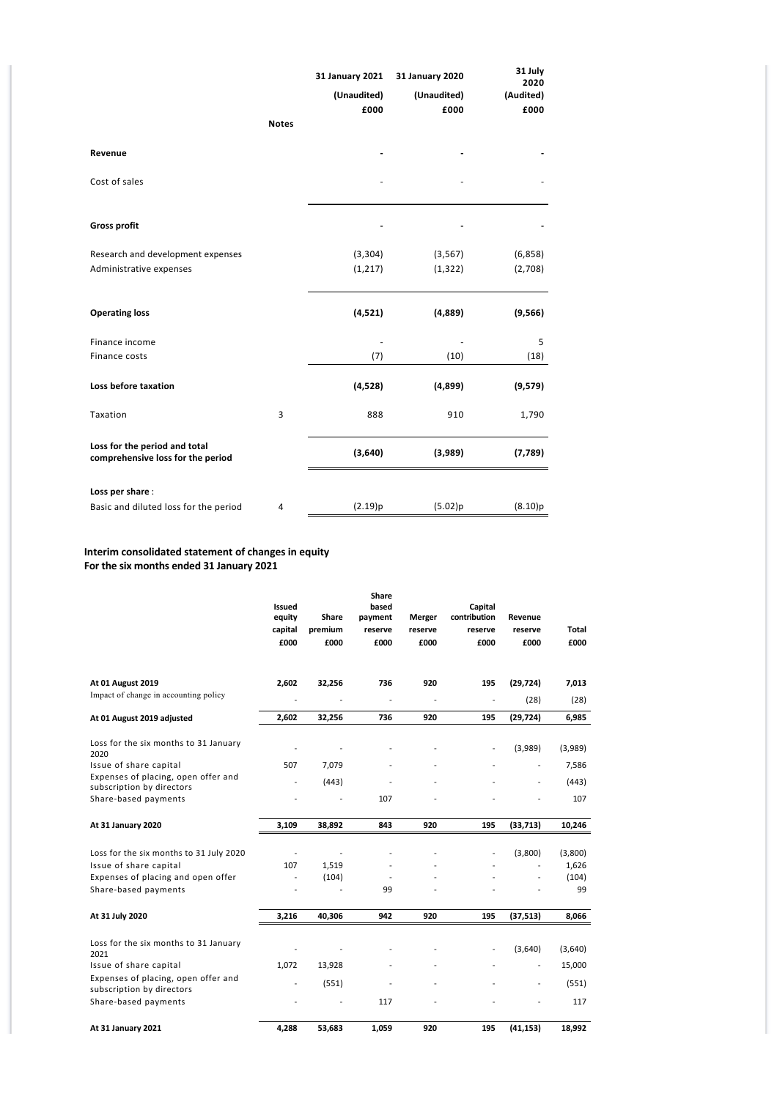|                                       |              | 31 January 2021<br>(Unaudited) | 31 January 2020<br>(Unaudited) | 31 July<br>2020<br>(Audited) |
|---------------------------------------|--------------|--------------------------------|--------------------------------|------------------------------|
|                                       |              | £000                           | £000                           | £000                         |
|                                       | <b>Notes</b> |                                |                                |                              |
|                                       |              |                                |                                |                              |
| Revenue                               |              |                                |                                |                              |
|                                       |              |                                |                                |                              |
| Cost of sales                         |              |                                |                                |                              |
|                                       |              |                                |                                |                              |
| <b>Gross profit</b>                   |              |                                |                                |                              |
|                                       |              |                                |                                |                              |
| Research and development expenses     |              | (3, 304)                       | (3, 567)                       | (6,858)                      |
| Administrative expenses               |              | (1, 217)                       | (1, 322)                       | (2,708)                      |
|                                       |              |                                |                                |                              |
|                                       |              |                                |                                |                              |
| <b>Operating loss</b>                 |              | (4,521)                        | (4,889)                        | (9, 566)                     |
|                                       |              |                                |                                |                              |
| Finance income                        |              |                                |                                | 5                            |
| Finance costs                         |              | (7)                            | (10)                           | (18)                         |
|                                       |              |                                |                                |                              |
| Loss before taxation                  |              | (4,528)                        | (4,899)                        | (9,579)                      |
| Taxation                              | 3            | 888                            | 910                            | 1,790                        |
|                                       |              |                                |                                |                              |
| Loss for the period and total         |              |                                |                                |                              |
| comprehensive loss for the period     |              | (3,640)                        | (3,989)                        | (7,789)                      |
|                                       |              |                                |                                |                              |
| Loss per share:                       |              |                                |                                |                              |
| Basic and diluted loss for the period | 4            | (2.19)p                        | (5.02)p                        | (8.10)p                      |

# **Interim consolidated statement of changes in equity For the six months ended 31 January 2021**

|                                                                  | <b>Issued</b><br>equity<br>capital<br>£000 | Share<br>premium<br>£000 | <b>Share</b><br>based<br>payment<br>reserve<br>£000 | Merger<br>reserve<br>£000 | Capital<br>contribution<br>reserve<br>£000 | Revenue<br>reserve<br>£000 | Total<br>£000 |
|------------------------------------------------------------------|--------------------------------------------|--------------------------|-----------------------------------------------------|---------------------------|--------------------------------------------|----------------------------|---------------|
| At 01 August 2019                                                | 2,602                                      | 32,256                   | 736                                                 | 920                       | 195                                        | (29, 724)                  | 7,013         |
| Impact of change in accounting policy                            | $\overline{a}$                             |                          | $\overline{a}$                                      |                           | $\overline{a}$                             | (28)                       | (28)          |
| At 01 August 2019 adjusted                                       | 2,602                                      | 32,256                   | 736                                                 | 920                       | 195                                        | (29, 724)                  | 6,985         |
| Loss for the six months to 31 January<br>2020                    |                                            |                          |                                                     |                           | $\overline{\phantom{a}}$                   | (3,989)                    | (3,989)       |
| Issue of share capital                                           | 507                                        | 7,079                    |                                                     |                           |                                            |                            | 7,586         |
| Expenses of placing, open offer and<br>subscription by directors | $\overline{a}$                             | (443)                    |                                                     |                           |                                            |                            | (443)         |
| Share-based payments                                             | $\overline{a}$                             | Ĭ.                       | 107                                                 |                           |                                            |                            | 107           |
| At 31 January 2020                                               | 3,109                                      | 38,892                   | 843                                                 | 920                       | 195                                        | (33,713)                   | 10,246        |
| Loss for the six months to 31 July 2020                          | $\overline{a}$                             |                          |                                                     |                           | $\overline{a}$                             | (3,800)                    | (3,800)       |
| Issue of share capital                                           | 107                                        | 1,519                    |                                                     |                           |                                            |                            | 1,626         |
| Expenses of placing and open offer<br>Share-based payments       | $\overline{a}$                             | (104)                    | 99                                                  |                           |                                            |                            | (104)<br>99   |
|                                                                  |                                            |                          |                                                     |                           |                                            |                            |               |
| At 31 July 2020                                                  | 3,216                                      | 40,306                   | 942                                                 | 920                       | 195                                        | (37,513)                   | 8,066         |
| Loss for the six months to 31 January<br>2021                    |                                            |                          |                                                     |                           | $\overline{\phantom{a}}$                   | (3,640)                    | (3,640)       |
| Issue of share capital                                           | 1,072                                      | 13,928                   |                                                     |                           |                                            | $\overline{\phantom{a}}$   | 15,000        |
| Expenses of placing, open offer and<br>subscription by directors |                                            | (551)                    |                                                     |                           |                                            |                            | (551)         |
| Share-based payments                                             |                                            |                          | 117                                                 |                           |                                            |                            | 117           |
| At 31 January 2021                                               | 4,288                                      | 53,683                   | 1,059                                               | 920                       | 195                                        | (41, 153)                  | 18,992        |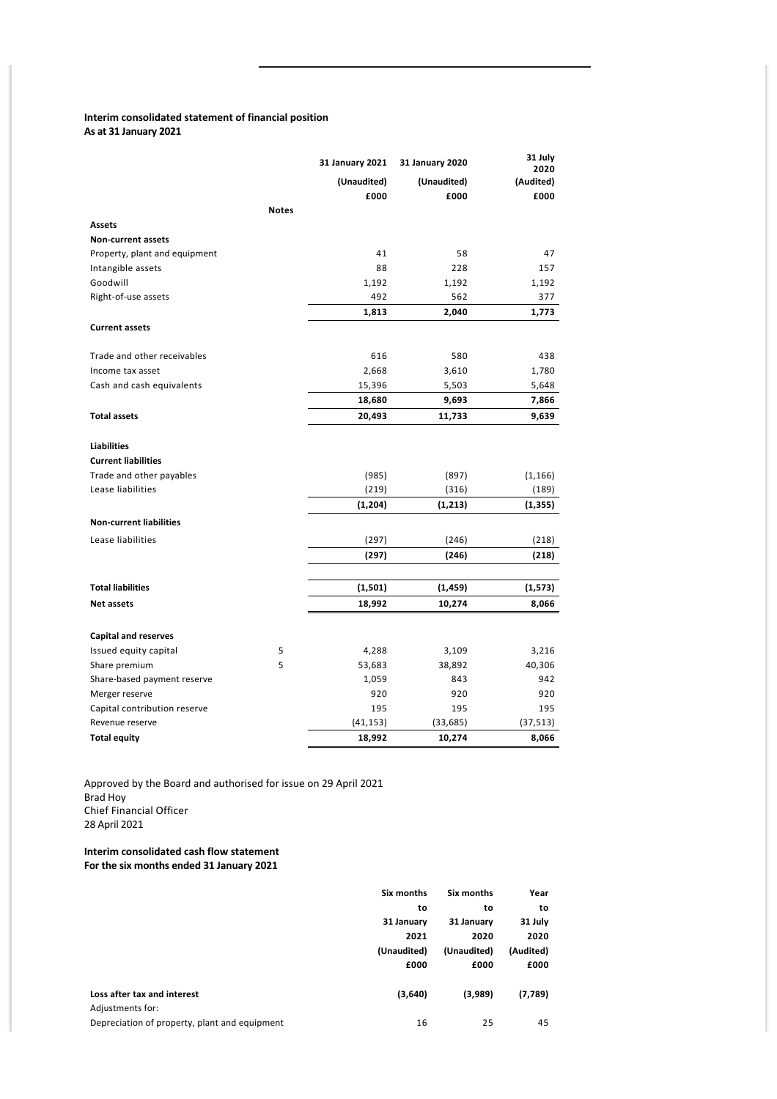# **Interim consolidated statement of financial position As at 31 January 2021**

|                                |              | 31 January 2021 | 31 January 2020 | 31 July<br>2020 |
|--------------------------------|--------------|-----------------|-----------------|-----------------|
|                                |              | (Unaudited)     | (Unaudited)     | (Audited)       |
|                                |              | £000            | £000            | £000            |
|                                | <b>Notes</b> |                 |                 |                 |
| Assets                         |              |                 |                 |                 |
| <b>Non-current assets</b>      |              |                 |                 |                 |
| Property, plant and equipment  |              | 41              | 58              | 47              |
| Intangible assets              |              | 88              | 228             | 157             |
| Goodwill                       |              | 1,192           | 1,192           | 1,192           |
| Right-of-use assets            |              | 492             | 562             | 377             |
|                                |              | 1,813           | 2,040           | 1,773           |
| <b>Current assets</b>          |              |                 |                 |                 |
| Trade and other receivables    |              | 616             | 580             | 438             |
| Income tax asset               |              | 2,668           | 3,610           | 1,780           |
| Cash and cash equivalents      |              | 15,396          | 5,503           | 5,648           |
|                                |              | 18,680          | 9,693           | 7,866           |
| <b>Total assets</b>            |              | 20,493          | 11,733          | 9,639           |
| <b>Liabilities</b>             |              |                 |                 |                 |
| <b>Current liabilities</b>     |              |                 |                 |                 |
| Trade and other payables       |              | (985)           | (897)           | (1, 166)        |
| Lease liabilities              |              | (219)           | (316)           | (189)           |
|                                |              | (1, 204)        | (1, 213)        | (1, 355)        |
| <b>Non-current liabilities</b> |              |                 |                 |                 |
| Lease liabilities              |              | (297)           | (246)           | (218)           |
|                                |              | (297)           | (246)           | (218)           |
|                                |              |                 |                 |                 |
| <b>Total liabilities</b>       |              | (1,501)         | (1, 459)        | (1,573)         |
| <b>Net assets</b>              |              | 18,992          | 10,274          | 8,066           |
| <b>Capital and reserves</b>    |              |                 |                 |                 |
| Issued equity capital          | 5            | 4,288           | 3,109           | 3,216           |
| Share premium                  | 5            | 53,683          | 38,892          | 40,306          |
| Share-based payment reserve    |              | 1,059           | 843             | 942             |
| Merger reserve                 |              | 920             | 920             | 920             |
| Capital contribution reserve   |              | 195             | 195             | 195             |
| Revenue reserve                |              | (41, 153)       | (33, 685)       | (37, 513)       |
| <b>Total equity</b>            |              | 18,992          | 10,274          | 8,066           |

Approved by the Board and authorised for issue on 29 April 2021 Brad Hoy Chief Financial Officer 28 April 2021

**Interim consolidated cash flow statement For the six months ended 31 January 2021**

|                                               | Six months  | Six months  | Year      |
|-----------------------------------------------|-------------|-------------|-----------|
|                                               | to          | to          | to        |
|                                               | 31 January  | 31 January  | 31 July   |
|                                               | 2021        | 2020        | 2020      |
|                                               | (Unaudited) | (Unaudited) | (Audited) |
|                                               | £000        | £000        | £000      |
|                                               |             |             |           |
| Loss after tax and interest                   | (3,640)     | (3,989)     | (7,789)   |
| Adjustments for:                              |             |             |           |
| Depreciation of property, plant and equipment | 16          | 25          | 45        |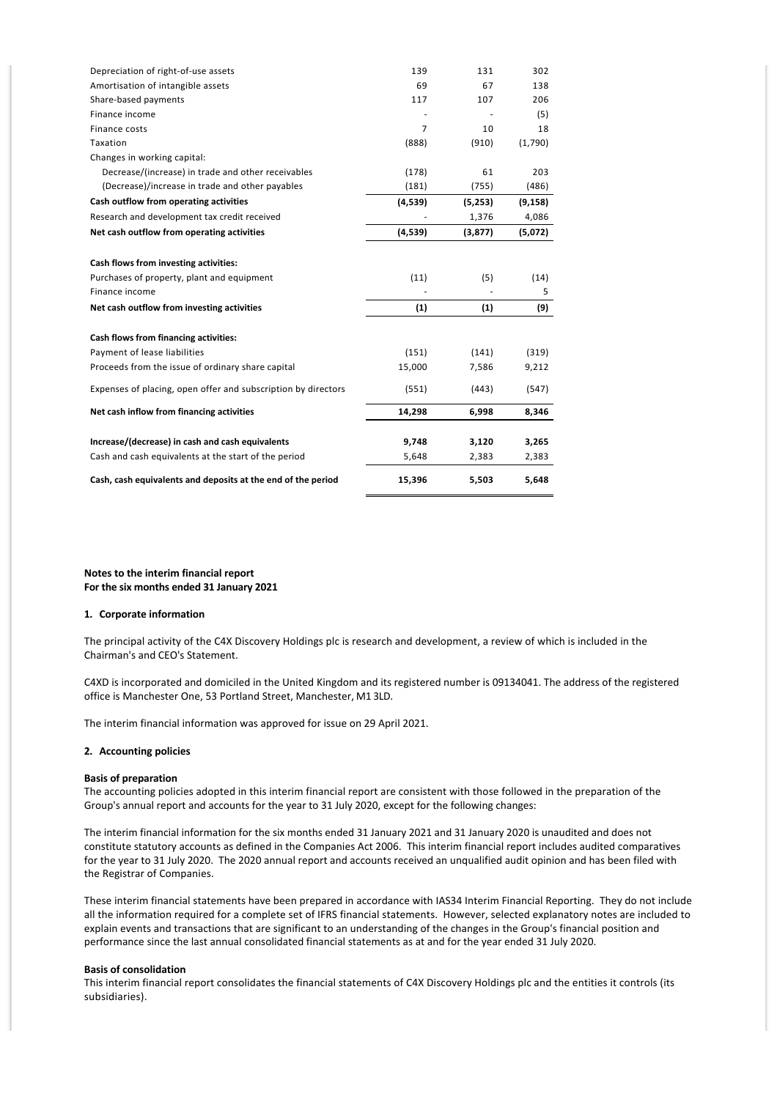| Depreciation of right-of-use assets                           | 139            | 131     | 302      |
|---------------------------------------------------------------|----------------|---------|----------|
| Amortisation of intangible assets                             | 69             | 67      | 138      |
| Share-based payments                                          | 117            | 107     | 206      |
| Finance income                                                |                |         | (5)      |
| Finance costs                                                 | $\overline{7}$ | 10      | 18       |
| Taxation                                                      | (888)          | (910)   | (1,790)  |
| Changes in working capital:                                   |                |         |          |
| Decrease/(increase) in trade and other receivables            | (178)          | 61      | 203      |
| (Decrease)/increase in trade and other payables               | (181)          | (755)   | (486)    |
| Cash outflow from operating activities                        | (4,539)        | (5,253) | (9, 158) |
| Research and development tax credit received                  |                | 1,376   | 4,086    |
| Net cash outflow from operating activities                    | (4,539)        | (3,877) | (5,072)  |
| Cash flows from investing activities:                         |                |         |          |
| Purchases of property, plant and equipment                    | (11)           | (5)     | (14)     |
| Finance income                                                |                |         | 5        |
| Net cash outflow from investing activities                    | (1)            | (1)     | (9)      |
|                                                               |                |         |          |
| Cash flows from financing activities:                         |                |         |          |
| Payment of lease liabilities                                  | (151)          | (141)   | (319)    |
| Proceeds from the issue of ordinary share capital             | 15,000         | 7,586   | 9,212    |
| Expenses of placing, open offer and subscription by directors | (551)          | (443)   | (547)    |
| Net cash inflow from financing activities                     | 14,298         | 6,998   | 8,346    |
|                                                               |                |         |          |
| Increase/(decrease) in cash and cash equivalents              | 9,748          | 3,120   | 3,265    |
| Cash and cash equivalents at the start of the period          | 5,648          | 2,383   | 2,383    |
| Cash, cash equivalents and deposits at the end of the period  | 15,396         | 5,503   | 5,648    |

**Notes to the interim financial report For the six months ended 31 January 2021**

### **1. Corporate information**

The principal activity of the C4X Discovery Holdings plc is research and development, a review of which is included in the Chairman's and CEO's Statement.

C4XD is incorporated and domiciled in the United Kingdom and its registered number is 09134041. The address of the registered office is Manchester One, 53 Portland Street, Manchester, M1 3LD.

The interim financial information was approved for issue on 29 April 2021.

#### **2. Accounting policies**

#### **Basis of preparation**

The accounting policies adopted in this interim financial report are consistent with those followed in the preparation of the Group's annual report and accounts for the year to 31 July 2020, except for the following changes:

The interim financial information for the six months ended 31 January 2021 and 31 January 2020 is unaudited and does not constitute statutory accounts as defined in the Companies Act 2006. This interim financial report includes audited comparatives for the year to 31 July 2020. The 2020 annual report and accounts received an unqualified audit opinion and has been filed with the Registrar of Companies.

These interim financial statements have been prepared in accordance with IAS34 Interim Financial Reporting. They do not include all the information required for a complete set of IFRS financial statements. However, selected explanatory notes are included to explain events and transactions that are significant to an understanding of the changes in the Group's financial position and performance since the last annual consolidated financial statements as at and for the year ended 31 July 2020.

#### **Basis of consolidation**

This interim financial report consolidates the financial statements of C4X Discovery Holdings plc and the entities it controls (its subsidiaries).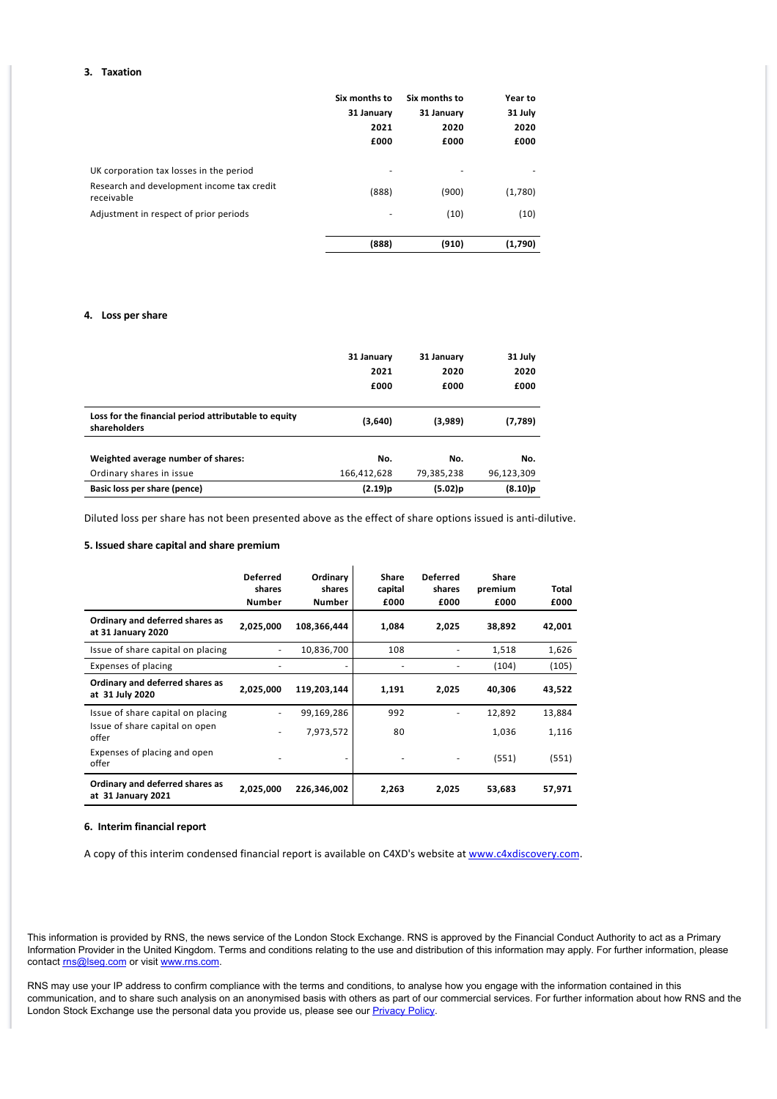### **3. Taxation**

|                                                          | Six months to | Six months to | Year to |
|----------------------------------------------------------|---------------|---------------|---------|
|                                                          | 31 January    | 31 January    | 31 July |
|                                                          | 2021          | 2020          | 2020    |
|                                                          | £000          | £000          | £000    |
| UK corporation tax losses in the period                  | ۰             |               |         |
| Research and development income tax credit<br>receivable | (888)         | (900)         | (1,780) |
| Adjustment in respect of prior periods                   | ۰             | (10)          | (10)    |
|                                                          |               |               |         |
|                                                          | (888)         | (910)         | (1,790) |

# **4. Loss per share**

|                                                                      | 31 January  | 31 January | 31 July    |
|----------------------------------------------------------------------|-------------|------------|------------|
|                                                                      | 2021        | 2020       | 2020       |
|                                                                      | £000        | £000       | £000       |
| Loss for the financial period attributable to equity<br>shareholders | (3,640)     | (3,989)    | (7,789)    |
| Weighted average number of shares:                                   | No.         | No.        | No.        |
| Ordinary shares in issue                                             | 166,412,628 | 79,385,238 | 96,123,309 |
| Basic loss per share (pence)                                         | $(2.19)$ p  | $(5.02)$ p | $(8.10)$ p |

Diluted loss per share has not been presented above as the effect of share options issued is anti‐dilutive.

#### **5. Issued share capital and share premium**

|                                                       | <b>Deferred</b><br>shares<br><b>Number</b> | Ordinary<br>shares<br><b>Number</b> | Share<br>capital<br>£000 | <b>Deferred</b><br>shares<br>£000 | <b>Share</b><br>premium<br>£000 | Total<br>£000 |
|-------------------------------------------------------|--------------------------------------------|-------------------------------------|--------------------------|-----------------------------------|---------------------------------|---------------|
| Ordinary and deferred shares as<br>at 31 January 2020 | 2,025,000                                  | 108,366,444                         | 1,084                    | 2,025                             | 38,892                          | 42,001        |
| Issue of share capital on placing                     |                                            | 10,836,700                          | 108                      | ٠                                 | 1,518                           | 1,626         |
| Expenses of placing                                   |                                            |                                     |                          | ٠                                 | (104)                           | (105)         |
| Ordinary and deferred shares as<br>at 31 July 2020    | 2,025,000                                  | 119,203,144                         | 1,191                    | 2,025                             | 40,306                          | 43,522        |
| Issue of share capital on placing                     |                                            | 99,169,286                          | 992                      | ٠                                 | 12,892                          | 13,884        |
| Issue of share capital on open<br>offer               | ٠                                          | 7,973,572                           | 80                       |                                   | 1,036                           | 1,116         |
| Expenses of placing and open<br>offer                 |                                            |                                     |                          | ٠                                 | (551)                           | (551)         |
| Ordinary and deferred shares as<br>at 31 January 2021 | 2,025,000                                  | 226,346,002                         | 2,263                    | 2,025                             | 53,683                          | 57,971        |

#### **6. Interim financial report**

A copy of this interim condensed financial report is available on C4XD's website at [www.c4xdiscovery.com.](http://www.c4xdiscovery.com)

This information is provided by RNS, the news service of the London Stock Exchange. RNS is approved by the Financial Conduct Authority to act as a Primary Information Provider in the United Kingdom. Terms and conditions relating to the use and distribution of this information may apply. For further information, please contact [rns@lseg.com](mailto:rns@lseg.com) or visit [www.rns.com.](http://www.rns.com/)

RNS may use your IP address to confirm compliance with the terms and conditions, to analyse how you engage with the information contained in this communication, and to share such analysis on an anonymised basis with others as part of our commercial services. For further information about how RNS and the London Stock Exchange use the personal data you provide us, please see our **Privacy Policy**.